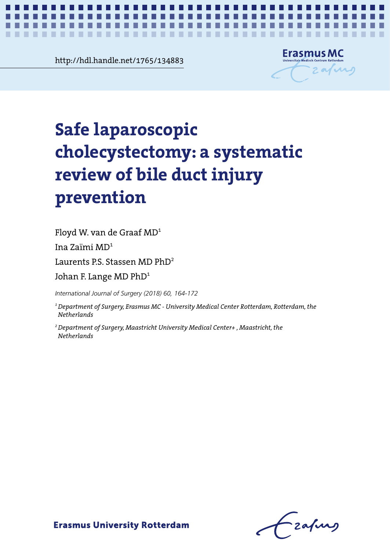**Chapter 8** http://hdl.handle.net/1765/134883



*A systematic review of bile duct injury prevention* **1**

# Safe laparoscopic cholecystectomy: a **cholecystectomy: a systematic**  systematic review of bile duct injury **review of bile duct injury**  prevention **prevention Safe laparoscopic**

Floyd W. van de Graaf MD<sup>1</sup>

Ina Zaïmi MD<sup>1</sup>

Laurents P.S. Stassen MD  $\rm PhD^{2}$ 

 $\overline{1}$ Johan F. Lange MD PhD $^{\rm 1}$ 

International Journal of Surgery (2018) 60, 164-172

*International Journal of Surgery (2018) 60, 164-172 Netherlands 1 Department of Surgery, Erasmus MC - University Medical Center Rotterdam, Rotterdam, the* 

1 Department of Surgery, Erasmus Medical Center Rothers and Rothers Rothers Rothers Rothers Rothers Rothers Rothers Rothers Rothers Rothers Rothers Rothers Rothers Rothers Rothers Rothers Rothers Rothers Rothers Rothers Ro *2 Department of Surgery, Maastricht University Medical Center+ , Maastricht, the Netherlands*

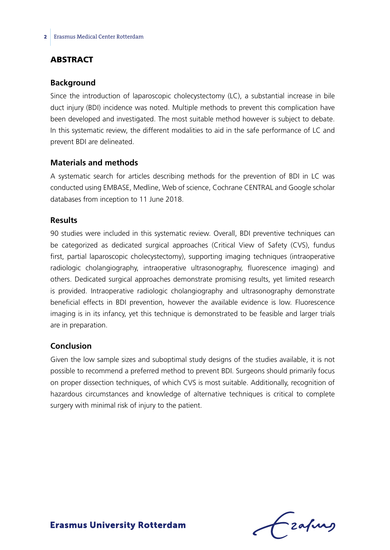## **ABSTRACT**

#### **Background**

Since the introduction of laparoscopic cholecystectomy (LC), a substantial increase in bile duct injury (BDI) incidence was noted. Multiple methods to prevent this complication have been developed and investigated. The most suitable method however is subject to debate. In this systematic review, the different modalities to aid in the safe performance of LC and prevent BDI are delineated.

#### **Materials and methods**

A systematic search for articles describing methods for the prevention of BDI in LC was conducted using EMBASE, Medline, Web of science, Cochrane CENTRAL and Google scholar databases from inception to 11 June 2018.

#### **Results**

90 studies were included in this systematic review. Overall, BDI preventive techniques can be categorized as dedicated surgical approaches (Critical View of Safety (CVS), fundus first, partial laparoscopic cholecystectomy), supporting imaging techniques (intraoperative radiologic cholangiography, intraoperative ultrasonography, fluorescence imaging) and others. Dedicated surgical approaches demonstrate promising results, yet limited research is provided. Intraoperative radiologic cholangiography and ultrasonography demonstrate beneficial effects in BDI prevention, however the available evidence is low. Fluorescence imaging is in its infancy, yet this technique is demonstrated to be feasible and larger trials are in preparation.

#### **Conclusion**

Given the low sample sizes and suboptimal study designs of the studies available, it is not possible to recommend a preferred method to prevent BDI. Surgeons should primarily focus on proper dissection techniques, of which CVS is most suitable. Additionally, recognition of hazardous circumstances and knowledge of alternative techniques is critical to complete surgery with minimal risk of injury to the patient.

frafing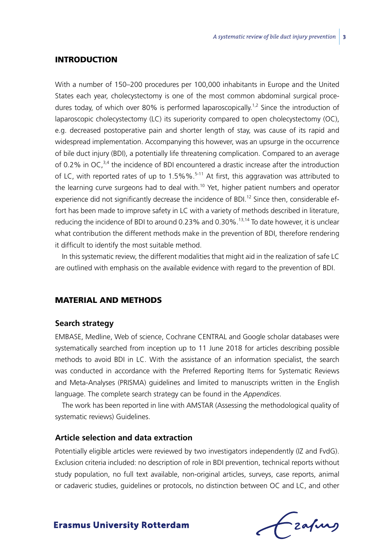#### Introduction

With a number of 150–200 procedures per 100,000 inhabitants in Europe and the United States each year, cholecystectomy is one of the most common abdominal surgical procedures today, of which over 80% is performed laparoscopically.<sup>1,2</sup> Since the introduction of laparoscopic cholecystectomy (LC) its superiority compared to open cholecystectomy (OC), e.g. decreased postoperative pain and shorter length of stay, was cause of its rapid and widespread implementation. Accompanying this however, was an upsurge in the occurrence of bile duct injury (BDI), a potentially life threatening complication. Compared to an average of 0.2% in OC, $3,4$  the incidence of BDI encountered a drastic increase after the introduction of LC, with reported rates of up to 1.5%%.<sup>5-11</sup> At first, this aggravation was attributed to the learning curve surgeons had to deal with.<sup>10</sup> Yet, higher patient numbers and operator experience did not significantly decrease the incidence of BDI.<sup>12</sup> Since then, considerable effort has been made to improve safety in LC with a variety of methods described in literature, reducing the incidence of BDI to around 0.23% and 0.30%.13,14 To date however, it is unclear what contribution the different methods make in the prevention of BDI, therefore rendering it difficult to identify the most suitable method.

In this systematic review, the different modalities that might aid in the realization of safe LC are outlined with emphasis on the available evidence with regard to the prevention of BDI.

#### Material and methods

#### **Search strategy**

EMBASE, Medline, Web of science, Cochrane CENTRAL and Google scholar databases were systematically searched from inception up to 11 June 2018 for articles describing possible methods to avoid BDI in LC. With the assistance of an information specialist, the search was conducted in accordance with the Preferred Reporting Items for Systematic Reviews and Meta-Analyses (PRISMA) guidelines and limited to manuscripts written in the English language. The complete search strategy can be found in the *Appendices*.

The work has been reported in line with AMSTAR (Assessing the methodological quality of systematic reviews) Guidelines.

#### **Article selection and data extraction**

Potentially eligible articles were reviewed by two investigators independently (IZ and FvdG). Exclusion criteria included: no description of role in BDI prevention, technical reports without study population, no full text available, non-original articles, surveys, case reports, animal or cadaveric studies, guidelines or protocols, no distinction between OC and LC, and other

Czafing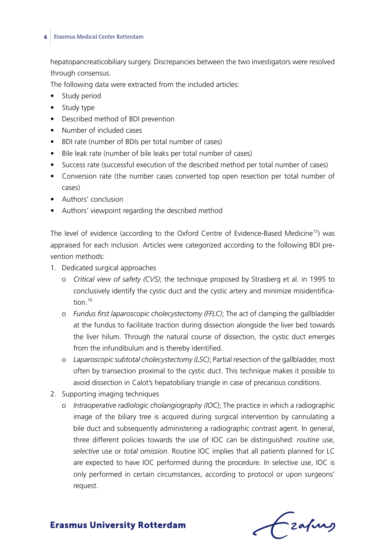hepatopancreaticobiliary surgery. Discrepancies between the two investigators were resolved through consensus.

The following data were extracted from the included articles:

- Study period
- Study type
- • Described method of BDI prevention
- • Number of included cases
- • BDI rate (number of BDIs per total number of cases)
- Bile leak rate (number of bile leaks per total number of cases)
- Success rate (successful execution of the described method per total number of cases)
- Conversion rate (the number cases converted top open resection per total number of cases)
- Authors' conclusion
- Authors' viewpoint regarding the described method

The level of evidence (according to the Oxford Centre of Evidence-Based Medicine<sup>15</sup>) was appraised for each inclusion. Articles were categorized according to the following BDI prevention methods:

- 1. Dedicated surgical approaches
	- o *Critical view of safety (CVS)*; the technique proposed by Strasberg et al. in 1995 to conclusively identify the cystic duct and the cystic artery and minimize misidentification $16$
	- o *Fundus first laparoscopic cholecystectomy (FFLC)*; The act of clamping the gallbladder at the fundus to facilitate traction during dissection alongside the liver bed towards the liver hilum. Through the natural course of dissection, the cystic duct emerges from the infundibulum and is thereby identified.
	- o *Laparoscopic subtotal cholecystectomy (LSC)*; Partial resection of the gallbladder, most often by transection proximal to the cystic duct. This technique makes it possible to avoid dissection in Calot's hepatobiliary triangle in case of precarious conditions.
- 2. Supporting imaging techniques
	- o *Intraoperative radiologic cholangiography (IOC)*; The practice in which a radiographic image of the biliary tree is acquired during surgical intervention by cannulating a bile duct and subsequently administering a radiographic contrast agent. In general, three different policies towards the use of IOC can be distinguished: *routine* use, *selective* use or *total omission*. Routine IOC implies that all patients planned for LC are expected to have IOC performed during the procedure. In selective use, IOC is only performed in certain circumstances, according to protocol or upon surgeons' request.

Frahing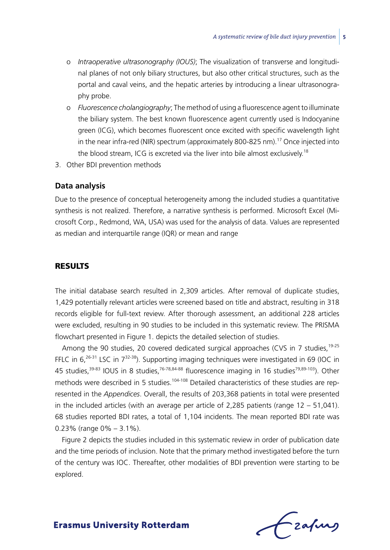- o *Intraoperative ultrasonography (IOUS)*; The visualization of transverse and longitudinal planes of not only biliary structures, but also other critical structures, such as the portal and caval veins, and the hepatic arteries by introducing a linear ultrasonography probe.
- o *Fluorescence cholangiography*; The method of using a fluorescence agent to illuminate the biliary system. The best known fluorescence agent currently used is Indocyanine green (ICG), which becomes fluorescent once excited with specific wavelength light in the near infra-red (NIR) spectrum (approximately 800-825 nm).<sup>17</sup> Once injected into the blood stream, ICG is excreted via the liver into bile almost exclusively.<sup>18</sup>
- 3. Other BDI prevention methods

#### **Data analysis**

Due to the presence of conceptual heterogeneity among the included studies a quantitative synthesis is not realized. Therefore, a narrative synthesis is performed. Microsoft Excel (Microsoft Corp., Redmond, WA, USA) was used for the analysis of data. Values are represented as median and interquartile range (IQR) or mean and range

## **RESULTS**

The initial database search resulted in 2,309 articles. After removal of duplicate studies, 1,429 potentially relevant articles were screened based on title and abstract, resulting in 318 records eligible for full-text review. After thorough assessment, an additional 228 articles were excluded, resulting in 90 studies to be included in this systematic review. The PRISMA flowchart presented in Figure 1. depicts the detailed selection of studies.

Among the 90 studies, 20 covered dedicated surgical approaches (CVS in 7 studies, <sup>19-25</sup> FFLC in  $6.26-31$  LSC in  $7^{32-38}$ ). Supporting imaging techniques were investigated in 69 (IOC in 45 studies,<sup>39-83</sup> IOUS in 8 studies,<sup>76-78,84-88</sup> fluorescence imaging in 16 studies<sup>79,89-103</sup>). Other methods were described in 5 studies.<sup>104-108</sup> Detailed characteristics of these studies are represented in the *Appendices*. Overall, the results of 203,368 patients in total were presented in the included articles (with an average per article of 2,285 patients (range  $12 - 51,041$ ). 68 studies reported BDI rates, a total of 1,104 incidents. The mean reported BDI rate was 0.23% (range 0% – 3.1%).

Figure 2 depicts the studies included in this systematic review in order of publication date and the time periods of inclusion. Note that the primary method investigated before the turn of the century was IOC. Thereafter, other modalities of BDI prevention were starting to be explored.

Lzafurs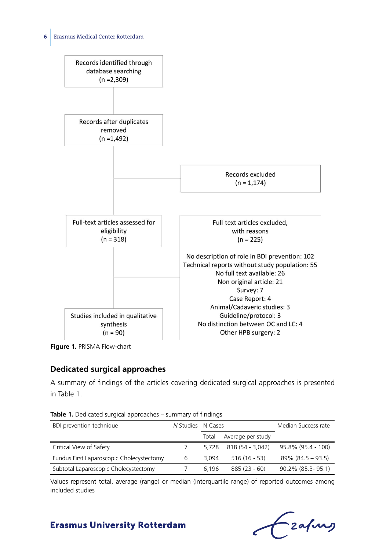

**Figure 1.** PRISMA Flow-chart

## **Dedicated surgical approaches**

A summary of findings of the articles covering dedicated surgical approaches is presented in Table 1.

| <b>ROOT 1.</b> Dedicated bargical approaches barringary of infamily |                   |       |                   |                      |
|---------------------------------------------------------------------|-------------------|-------|-------------------|----------------------|
| BDI prevention technique                                            | N Studies N Cases |       |                   | Median Success rate  |
|                                                                     |                   | Total | Average per study |                      |
| Critical View of Safety                                             |                   | 5.728 | 818 (54 - 3,042)  | 95.8% (95.4 - 100)   |
| Fundus First Laparoscopic Cholecystectomy                           | 6                 | 3.094 | $516(16 - 53)$    | $89\%$ (84.5 – 93.5) |
| Subtotal Laparoscopic Cholecystectomy                               |                   | 6.196 | $885(23 - 60)$    | 90.2% (85.3-95.1)    |

**Table 1.** Dedicated surgical approaches – summary of findings

Values represent total, average (range) or median (interquartile range) of reported outcomes among included studies

-<br>2afung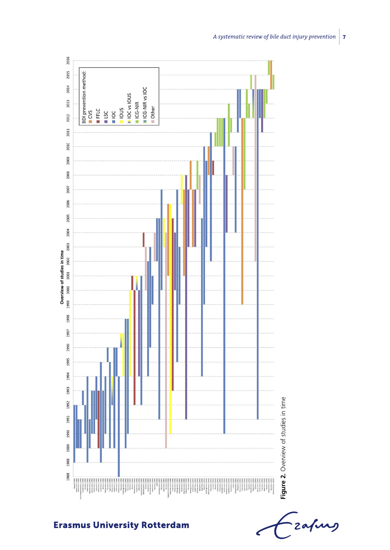

Tzafurg

*A systematic review of bile duct injury prevention* **7**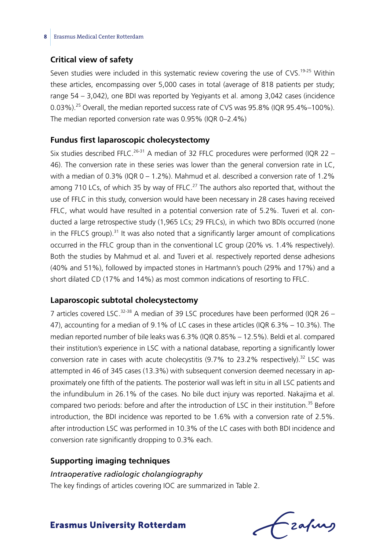## **Critical view of safety**

Seven studies were included in this systematic review covering the use of CVS.<sup>19-25</sup> Within these articles, encompassing over 5,000 cases in total (average of 818 patients per study; range 54 – 3,042), one BDI was reported by Yegiyants et al. among 3,042 cases (incidence 0.03%).<sup>25</sup> Overall, the median reported success rate of CVS was 95.8% (IQR 95.4%–100%). The median reported conversion rate was 0.95% (IQR 0–2.4%)

#### **Fundus first laparoscopic cholecystectomy**

Six studies described FFLC.<sup>26-31</sup> A median of 32 FFLC procedures were performed (IQR 22 – 46). The conversion rate in these series was lower than the general conversion rate in LC, with a median of 0.3% (IQR 0 – 1.2%). Mahmud et al. described a conversion rate of 1.2% among 710 LCs, of which 35 by way of FFLC.<sup>27</sup> The authors also reported that, without the use of FFLC in this study, conversion would have been necessary in 28 cases having received FFLC, what would have resulted in a potential conversion rate of 5.2%. Tuveri et al. conducted a large retrospective study (1,965 LCs; 29 FFLCs), in which two BDIs occurred (none in the FFLCS group). $31$  It was also noted that a significantly larger amount of complications occurred in the FFLC group than in the conventional LC group (20% vs. 1.4% respectively). Both the studies by Mahmud et al. and Tuveri et al. respectively reported dense adhesions (40% and 51%), followed by impacted stones in Hartmann's pouch (29% and 17%) and a short dilated CD (17% and 14%) as most common indications of resorting to FFLC.

#### **Laparoscopic subtotal cholecystectomy**

7 articles covered LSC.<sup>32-38</sup> A median of 39 LSC procedures have been performed (IQR 26 – 47), accounting for a median of 9.1% of LC cases in these articles (IQR 6.3% – 10.3%). The median reported number of bile leaks was 6.3% (IQR 0.85% – 12.5%). Beldi et al. compared their institution's experience in LSC with a national database, reporting a significantly lower conversion rate in cases with acute cholecystitis (9.7% to 23.2% respectively).<sup>32</sup> LSC was attempted in 46 of 345 cases (13.3%) with subsequent conversion deemed necessary in approximately one fifth of the patients. The posterior wall was left in situ in all LSC patients and the infundibulum in 26.1% of the cases. No bile duct injury was reported. Nakajima et al. compared two periods: before and after the introduction of LSC in their institution.<sup>35</sup> Before introduction, the BDI incidence was reported to be 1.6% with a conversion rate of 2.5%. after introduction LSC was performed in 10.3% of the LC cases with both BDI incidence and conversion rate significantly dropping to 0.3% each.

#### **Supporting imaging techniques**

#### *Intraoperative radiologic cholangiography*

The key findings of articles covering IOC are summarized in Table 2.

frafing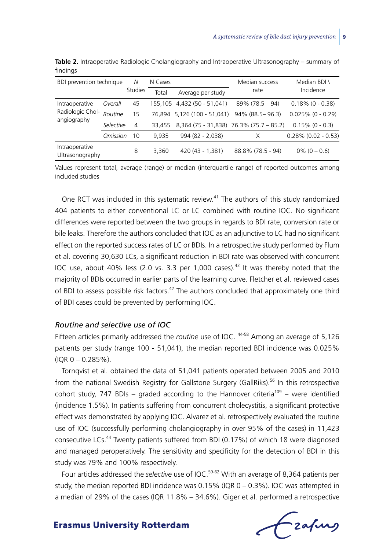| BDI prevention technique                          |           | N              | N Cases |                                         | Median success     | Median BDI \           |  |
|---------------------------------------------------|-----------|----------------|---------|-----------------------------------------|--------------------|------------------------|--|
|                                                   |           | <b>Studies</b> | Total   | Average per study                       | rate               | Incidence              |  |
| Intraoperative<br>Radiologic Chol-<br>angiography | Overall   | 45             |         | 155,105 4,432 (50 - 51,041)             | $89\%$ (78.5 – 94) | $0.18\%$ (0 - 0.38)    |  |
|                                                   | Routine   | 15             |         | 76,894 5,126 (100 - 51,041)             | 94% (88.5 - 96.3)  | $0.025\%$ (0 - 0.29)   |  |
|                                                   | Selective | 4              | 33,455  | 8,364 (75 - 31,838) 76.3% (75.7 - 85.2) |                    | $0.15\%$ (0 - 0.3)     |  |
|                                                   | Omission  | 10             | 9.935   | 994 (82 - 2,038)                        | X                  | $0.28\%$ (0.02 - 0.53) |  |
| Intraoperative<br>Ultrasonography                 |           | 8              | 3.360   | 420 (43 - 1,381)                        | 88.8% (78.5 - 94)  | $0\% (0 - 0.6)$        |  |

**Table 2.** Intraoperative Radiologic Cholangiography and Intraoperative Ultrasonography – summary of findings

Values represent total, average (range) or median (interquartile range) of reported outcomes among included studies

One RCT was included in this systematic review.41 The authors of this study randomized 404 patients to either conventional LC or LC combined with routine IOC. No significant differences were reported between the two groups in regards to BDI rate, conversion rate or bile leaks. Therefore the authors concluded that IOC as an adjunctive to LC had no significant effect on the reported success rates of LC or BDIs. In a retrospective study performed by Flum et al. covering 30,630 LCs, a significant reduction in BDI rate was observed with concurrent IOC use, about 40% less (2.0 vs. 3.3 per 1,000 cases).<sup>43</sup> It was thereby noted that the majority of BDIs occurred in earlier parts of the learning curve. Fletcher et al. reviewed cases of BDI to assess possible risk factors.<sup>42</sup> The authors concluded that approximately one third of BDI cases could be prevented by performing IOC.

#### *Routine and selective use of IOC*

Fifteen articles primarily addressed the *routine* use of IOC. <sup>44-58</sup> Among an average of 5,126 patients per study (range 100 - 51,041), the median reported BDI incidence was 0.025% (IQR 0 – 0.285%).

Tornqvist et al. obtained the data of 51,041 patients operated between 2005 and 2010 from the national Swedish Registry for Gallstone Surgery (GallRiks).<sup>56</sup> In this retrospective cohort study, 747 BDIs – graded according to the Hannover criteria<sup>109</sup> – were identified (incidence 1.5%). In patients suffering from concurrent cholecystitis, a significant protective effect was demonstrated by applying IOC. Alvarez et al. retrospectively evaluated the routine use of IOC (successfully performing cholangiography in over 95% of the cases) in 11,423 consecutive LCs.44 Twenty patients suffered from BDI (0.17%) of which 18 were diagnosed and managed peroperatively. The sensitivity and specificity for the detection of BDI in this study was 79% and 100% respectively.

Four articles addressed the *selective* use of IOC.<sup>59-62</sup> With an average of 8,364 patients per study, the median reported BDI incidence was  $0.15\%$  (IQR  $0 - 0.3\%$ ). IOC was attempted in a median of 29% of the cases (IQR 11.8% – 34.6%). Giger et al. performed a retrospective

Czafurz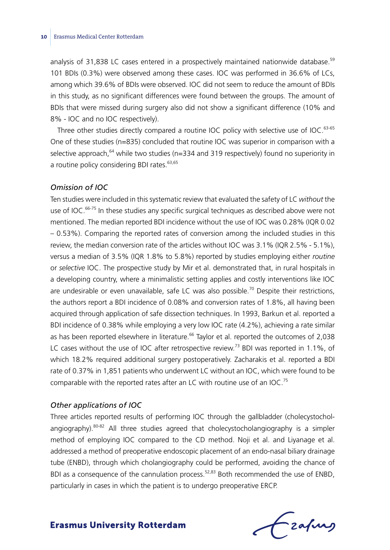analysis of 31,838 LC cases entered in a prospectively maintained nationwide database.<sup>59</sup> 101 BDIs (0.3%) were observed among these cases. IOC was performed in 36.6% of LCs, among which 39.6% of BDIs were observed. IOC did not seem to reduce the amount of BDIs in this study, as no significant differences were found between the groups. The amount of BDIs that were missed during surgery also did not show a significant difference (10% and 8% - IOC and no IOC respectively).

Three other studies directly compared a routine IOC policy with selective use of IOC.<sup>63-65</sup> One of these studies (n=835) concluded that routine IOC was superior in comparison with a selective approach,  $64$  while two studies (n=334 and 319 respectively) found no superiority in a routine policy considering BDI rates.<sup>63,65</sup>

#### *Omission of IOC*

Ten studies were included in this systematic review that evaluated the safety of LC *without* the use of IOC.<sup>66-75</sup> In these studies any specific surgical techniques as described above were not mentioned. The median reported BDI incidence without the use of IOC was 0.28% (IQR 0.02 – 0.53%). Comparing the reported rates of conversion among the included studies in this review, the median conversion rate of the articles without IOC was 3.1% (IQR 2.5% - 5.1%), versus a median of 3.5% (IQR 1.8% to 5.8%) reported by studies employing either *routine* or *selective* IOC. The prospective study by Mir et al. demonstrated that, in rural hospitals in a developing country, where a minimalistic setting applies and costly interventions like IOC are undesirable or even unavailable, safe LC was also possible.<sup>70</sup> Despite their restrictions, the authors report a BDI incidence of 0.08% and conversion rates of 1.8%, all having been acquired through application of safe dissection techniques. In 1993, Barkun et al. reported a BDI incidence of 0.38% while employing a very low IOC rate (4.2%), achieving a rate similar as has been reported elsewhere in literature.<sup>66</sup> Taylor et al. reported the outcomes of 2,038 LC cases without the use of IOC after retrospective review.<sup>73</sup> BDI was reported in 1.1%, of which 18.2% required additional surgery postoperatively. Zacharakis et al. reported a BDI rate of 0.37% in 1,851 patients who underwent LC without an IOC, which were found to be comparable with the reported rates after an LC with routine use of an IOC.75

#### *Other applications of IOC*

Three articles reported results of performing IOC through the gallbladder (cholecystocholangiography).<sup>80-82</sup> All three studies agreed that cholecystocholangiography is a simpler method of employing IOC compared to the CD method. Noji et al. and Liyanage et al. addressed a method of preoperative endoscopic placement of an endo-nasal biliary drainage tube (ENBD), through which cholangiography could be performed, avoiding the chance of BDI as a consequence of the cannulation process.<sup>52,83</sup> Both recommended the use of ENBD, particularly in cases in which the patient is to undergo preoperative ERCP.

Lzafurs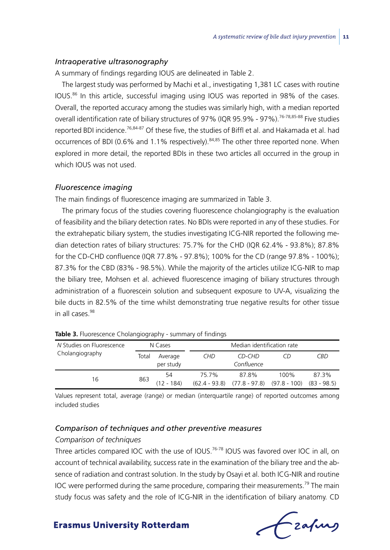#### *Intraoperative ultrasonography*

A summary of findings regarding IOUS are delineated in Table 2.

The largest study was performed by Machi et al., investigating 1,381 LC cases with routine IOUS.86 In this article, successful imaging using IOUS was reported in 98% of the cases. Overall, the reported accuracy among the studies was similarly high, with a median reported overall identification rate of biliary structures of 97% (IQR 95.9% - 97%).<sup>76-78,85-88</sup> Five studies reported BDI incidence.76,84-87 Of these five, the studies of Biffl et al. and Hakamada et al. had occurrences of BDI (0.6% and 1.1% respectively). 84,85 The other three reported none. When explored in more detail, the reported BDIs in these two articles all occurred in the group in which IOUS was not used.

#### *Fluorescence imaging*

The main findings of fluorescence imaging are summarized in Table 3.

The primary focus of the studies covering fluorescence cholangiography is the evaluation of feasibility and the biliary detection rates. No BDIs were reported in any of these studies. For the extrahepatic biliary system, the studies investigating ICG-NIR reported the following median detection rates of biliary structures: 75.7% for the CHD (IQR 62.4% - 93.8%); 87.8% for the CD-CHD confluence (IQR 77.8% - 97.8%); 100% for the CD (range 97.8% - 100%); 87.3% for the CBD (83% - 98.5%). While the majority of the articles utilize ICG-NIR to map the biliary tree, Mohsen et al. achieved fluorescence imaging of biliary structures through administration of a fluorescein solution and subsequent exposure to UV-A, visualizing the bile ducts in 82.5% of the time whilst demonstrating true negative results for other tissue in all cases  $98$ 

| N Studies on Fluorescence<br>Cholangiography | N Cases |                      | Median identification rate |                                                                       |      |            |
|----------------------------------------------|---------|----------------------|----------------------------|-----------------------------------------------------------------------|------|------------|
|                                              | Total   | Average<br>per study | CHD                        | CD-CHD<br>Confluence                                                  |      | <b>CBD</b> |
| 16                                           | 863     | 54<br>$(12 - 184)$   | 75.7%                      | 87.8%<br>$(62.4 - 93.8)$ $(77.8 - 97.8)$ $(97.8 - 100)$ $(83 - 98.5)$ | 100% | 87.3%      |

| Table 3. Fluorescence Cholangiography - summary of findings |  |  |  |
|-------------------------------------------------------------|--|--|--|
|-------------------------------------------------------------|--|--|--|

Values represent total, average (range) or median (interquartile range) of reported outcomes among included studies

#### *Comparison of techniques and other preventive measures*

#### *Comparison of techniques*

Three articles compared IOC with the use of IOUS.<sup>76-78</sup> IOUS was favored over IOC in all, on account of technical availability, success rate in the examination of the biliary tree and the absence of radiation and contrast solution. In the study by Osayi et al. both ICG-NIR and routine IOC were performed during the same procedure, comparing their measurements.<sup>79</sup> The main study focus was safety and the role of ICG-NIR in the identification of biliary anatomy. CD

Czafurz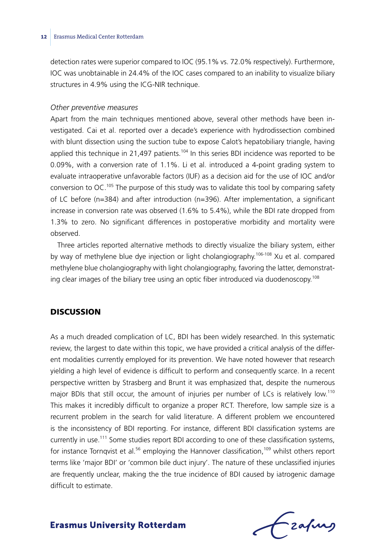detection rates were superior compared to IOC (95.1% vs. 72.0% respectively). Furthermore, IOC was unobtainable in 24.4% of the IOC cases compared to an inability to visualize biliary structures in 4.9% using the ICG-NIR technique.

#### *Other preventive measures*

Apart from the main techniques mentioned above, several other methods have been investigated. Cai et al. reported over a decade's experience with hydrodissection combined with blunt dissection using the suction tube to expose Calot's hepatobiliary triangle, having applied this technique in 21,497 patients.<sup>104</sup> In this series BDI incidence was reported to be 0.09%, with a conversion rate of 1.1%. Li et al. introduced a 4-point grading system to evaluate intraoperative unfavorable factors (IUF) as a decision aid for the use of IOC and/or conversion to  $OC^{105}$  The purpose of this study was to validate this tool by comparing safety of LC before (n=384) and after introduction (n=396). After implementation, a significant increase in conversion rate was observed (1.6% to 5.4%), while the BDI rate dropped from 1.3% to zero. No significant differences in postoperative morbidity and mortality were observed.

Three articles reported alternative methods to directly visualize the biliary system, either by way of methylene blue dye injection or light cholangiography.<sup>106-108</sup> Xu et al. compared methylene blue cholangiography with light cholangiography, favoring the latter, demonstrating clear images of the biliary tree using an optic fiber introduced via duodenoscopy.<sup>108</sup>

## **DISCUSSION**

As a much dreaded complication of LC, BDI has been widely researched. In this systematic review, the largest to date within this topic, we have provided a critical analysis of the different modalities currently employed for its prevention. We have noted however that research yielding a high level of evidence is difficult to perform and consequently scarce. In a recent perspective written by Strasberg and Brunt it was emphasized that, despite the numerous major BDIs that still occur, the amount of injuries per number of LCs is relatively low.<sup>110</sup> This makes it incredibly difficult to organize a proper RCT. Therefore, low sample size is a recurrent problem in the search for valid literature. A different problem we encountered is the inconsistency of BDI reporting. For instance, different BDI classification systems are currently in use.111 Some studies report BDI according to one of these classification systems, for instance Tornqvist et al.<sup>56</sup> employing the Hannover classification,<sup>109</sup> whilst others report terms like 'major BDI' or 'common bile duct injury'. The nature of these unclassified injuries are frequently unclear, making the the true incidence of BDI caused by iatrogenic damage difficult to estimate.

Frahing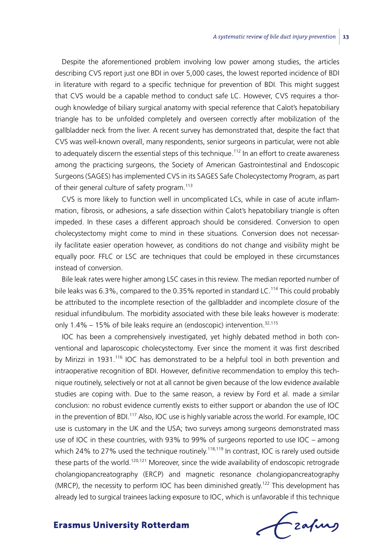Despite the aforementioned problem involving low power among studies, the articles describing CVS report just one BDI in over 5,000 cases, the lowest reported incidence of BDI in literature with regard to a specific technique for prevention of BDI. This might suggest that CVS would be a capable method to conduct safe LC. However, CVS requires a thorough knowledge of biliary surgical anatomy with special reference that Calot's hepatobiliary triangle has to be unfolded completely and overseen correctly after mobilization of the gallbladder neck from the liver. A recent survey has demonstrated that, despite the fact that CVS was well-known overall, many respondents, senior surgeons in particular, were not able to adequately discern the essential steps of this technique.<sup>112</sup> In an effort to create awareness among the practicing surgeons, the Society of American Gastrointestinal and Endoscopic Surgeons (SAGES) has implemented CVS in its SAGES Safe Cholecystectomy Program, as part of their general culture of safety program.<sup>113</sup>

CVS is more likely to function well in uncomplicated LCs, while in case of acute inflammation, fibrosis, or adhesions, a safe dissection within Calot's hepatobiliary triangle is often impeded. In these cases a different approach should be considered. Conversion to open cholecystectomy might come to mind in these situations. Conversion does not necessarily facilitate easier operation however, as conditions do not change and visibility might be equally poor. FFLC or LSC are techniques that could be employed in these circumstances instead of conversion.

Bile leak rates were higher among LSC cases in this review. The median reported number of bile leaks was 6.3%, compared to the 0.35% reported in standard LC.114 This could probably be attributed to the incomplete resection of the gallbladder and incomplete closure of the residual infundibulum. The morbidity associated with these bile leaks however is moderate: only 1.4% – 15% of bile leaks require an (endoscopic) intervention.<sup>32,115</sup>

IOC has been a comprehensively investigated, yet highly debated method in both conventional and laparoscopic cholecystectomy. Ever since the moment it was first described by Mirizzi in 1931.<sup>116</sup> IOC has demonstrated to be a helpful tool in both prevention and intraoperative recognition of BDI. However, definitive recommendation to employ this technique routinely, selectively or not at all cannot be given because of the low evidence available studies are coping with. Due to the same reason, a review by Ford et al. made a similar conclusion: no robust evidence currently exists to either support or abandon the use of IOC in the prevention of BDI.<sup>117</sup> Also, IOC use is highly variable across the world. For example, IOC use is customary in the UK and the USA; two surveys among surgeons demonstrated mass use of IOC in these countries, with 93% to 99% of surgeons reported to use IOC – among which 24% to 27% used the technique routinely.<sup>118,119</sup> In contrast, IOC is rarely used outside these parts of the world.<sup>120,121</sup> Moreover, since the wide availability of endoscopic retrograde cholangiopancreatography (ERCP) and magnetic resonance cholangiopancreatography (MRCP), the necessity to perform IOC has been diminished greatly.<sup>122</sup> This development has already led to surgical trainees lacking exposure to IOC, which is unfavorable if this technique

Frahing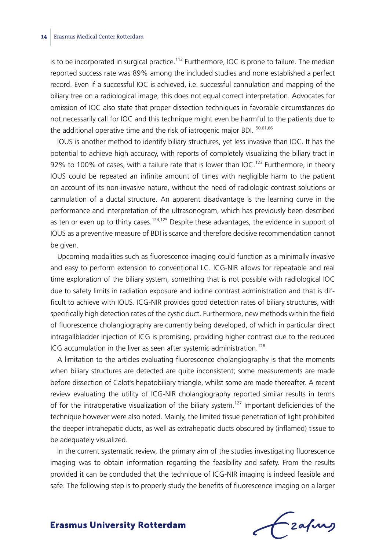is to be incorporated in surgical practice.<sup>112</sup> Furthermore, IOC is prone to failure. The median reported success rate was 89% among the included studies and none established a perfect record. Even if a successful IOC is achieved, i.e. successful cannulation and mapping of the biliary tree on a radiological image, this does not equal correct interpretation. Advocates for omission of IOC also state that proper dissection techniques in favorable circumstances do not necessarily call for IOC and this technique might even be harmful to the patients due to the additional operative time and the risk of iatrogenic major BDI. 50,61,66

IOUS is another method to identify biliary structures, yet less invasive than IOC. It has the potential to achieve high accuracy, with reports of completely visualizing the biliary tract in 92% to 100% of cases, with a failure rate that is lower than  $IOC<sup>123</sup>$  Furthermore, in theory IOUS could be repeated an infinite amount of times with negligible harm to the patient on account of its non-invasive nature, without the need of radiologic contrast solutions or cannulation of a ductal structure. An apparent disadvantage is the learning curve in the performance and interpretation of the ultrasonogram, which has previously been described as ten or even up to thirty cases.<sup>124,125</sup> Despite these advantages, the evidence in support of IOUS as a preventive measure of BDI is scarce and therefore decisive recommendation cannot be given.

Upcoming modalities such as fluorescence imaging could function as a minimally invasive and easy to perform extension to conventional LC. ICG-NIR allows for repeatable and real time exploration of the biliary system, something that is not possible with radiological IOC due to safety limits in radiation exposure and iodine contrast administration and that is difficult to achieve with IOUS. ICG-NIR provides good detection rates of biliary structures, with specifically high detection rates of the cystic duct. Furthermore, new methods within the field of fluorescence cholangiography are currently being developed, of which in particular direct intragallbladder injection of ICG is promising, providing higher contrast due to the reduced ICG accumulation in the liver as seen after systemic administration.<sup>126</sup>

A limitation to the articles evaluating fluorescence cholangiography is that the moments when biliary structures are detected are quite inconsistent; some measurements are made before dissection of Calot's hepatobiliary triangle, whilst some are made thereafter. A recent review evaluating the utility of ICG-NIR cholangiography reported similar results in terms of for the intraoperative visualization of the biliary system.<sup>127</sup> Important deficiencies of the technique however were also noted. Mainly, the limited tissue penetration of light prohibited the deeper intrahepatic ducts, as well as extrahepatic ducts obscured by (inflamed) tissue to be adequately visualized.

In the current systematic review, the primary aim of the studies investigating fluorescence imaging was to obtain information regarding the feasibility and safety. From the results provided it can be concluded that the technique of ICG-NIR imaging is indeed feasible and safe. The following step is to properly study the benefits of fluorescence imaging on a larger

 $f$  zafung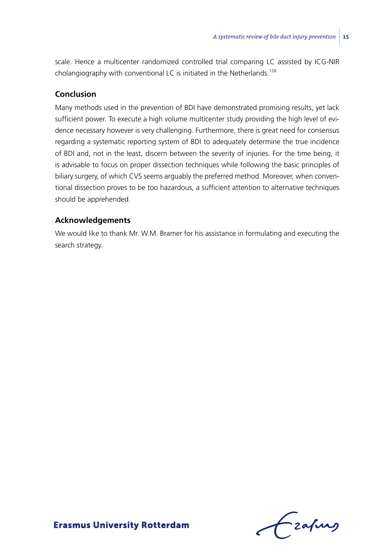scale. Hence a multicenter randomized controlled trial comparing LC assisted by ICG-NIR cholangiography with conventional LC is initiated in the Netherlands.<sup>128</sup>

#### **Conclusion**

Many methods used in the prevention of BDI have demonstrated promising results, yet lack sufficient power. To execute a high volume multicenter study providing the high level of evidence necessary however is very challenging. Furthermore, there is great need for consensus regarding a systematic reporting system of BDI to adequately determine the true incidence of BDI and, not in the least, discern between the severity of injuries. For the time being, it is advisable to focus on proper dissection techniques while following the basic principles of biliary surgery, of which CVS seems arguably the preferred method. Moreover, when conventional dissection proves to be too hazardous, a sufficient attention to alternative techniques should be apprehended.

## **Acknowledgements**

We would like to thank Mr. W.M. Bramer for his assistance in formulating and executing the search strategy.

frafing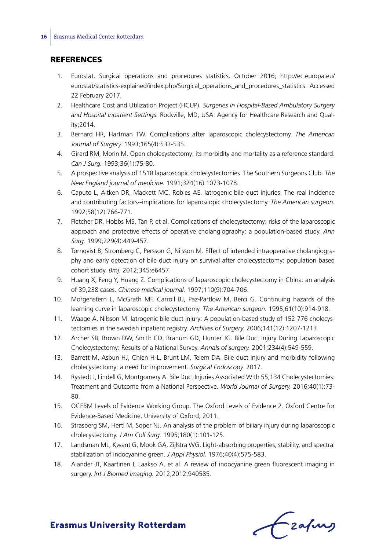#### **REFERENCES**

- 1. Eurostat. Surgical operations and procedures statistics. October 2016; http://ec.europa.eu/ eurostat/statistics-explained/index.php/Surgical\_operations\_and\_procedures\_statistics. Accessed 22 February 2017.
- 2. Healthcare Cost and Utilization Project (HCUP). *Surgeries in Hospital-Based Ambulatory Surgery and Hospital Inpatient Settings.* Rockville, MD, USA: Agency for Healthcare Research and Quality;2014.
- 3. Bernard HR, Hartman TW. Complications after laparoscopic cholecystectomy. *The American Journal of Surgery.* 1993;165(4):533-535.
- 4. Girard RM, Morin M. Open cholecystectomy: its morbidity and mortality as a reference standard. *Can J Surg.* 1993;36(1):75-80.
- 5. A prospective analysis of 1518 laparoscopic cholecystectomies. The Southern Surgeons Club. *The New England journal of medicine.* 1991;324(16):1073-1078.
- 6. Caputo L, Aitken DR, Mackett MC, Robles AE. Iatrogenic bile duct injuries. The real incidence and contributing factors--implications for laparoscopic cholecystectomy. *The American surgeon.* 1992;58(12):766-771.
- 7. Fletcher DR, Hobbs MS, Tan P, et al. Complications of cholecystectomy: risks of the laparoscopic approach and protective effects of operative cholangiography: a population-based study. *Ann Surg.* 1999;229(4):449-457.
- 8. Tornqvist B, Stromberg C, Persson G, Nilsson M. Effect of intended intraoperative cholangiography and early detection of bile duct injury on survival after cholecystectomy: population based cohort study. *Bmj.* 2012;345:e6457.
- 9. Huang X, Feng Y, Huang Z. Complications of laparoscopic cholecystectomy in China: an analysis of 39,238 cases. *Chinese medical journal.* 1997;110(9):704-706.
- 10. Morgenstern L, McGrath MF, Carroll BJ, Paz-Partlow M, Berci G. Continuing hazards of the learning curve in laparoscopic cholecystectomy. *The American surgeon.* 1995;61(10):914-918.
- 11. Waage A, Nilsson M. Iatrogenic bile duct injury: A population-based study of 152 776 cholecystectomies in the swedish inpatient registry. *Archives of Surgery.* 2006;141(12):1207-1213.
- 12. Archer SB, Brown DW, Smith CD, Branum GD, Hunter JG. Bile Duct Injury During Laparoscopic Cholecystectomy: Results of a National Survey. *Annals of surgery.* 2001;234(4):549-559.
- 13. Barrett M, Asbun HJ, Chien H-L, Brunt LM, Telem DA. Bile duct injury and morbidity following cholecystectomy: a need for improvement. *Surgical Endoscopy.* 2017.
- 14. Rystedt J, Lindell G, Montgomery A. Bile Duct Injuries Associated With 55,134 Cholecystectomies: Treatment and Outcome from a National Perspective. *World Journal of Surgery.* 2016;40(1):73- 80.
- 15. OCEBM Levels of Evidence Working Group. The Oxford Levels of Evidence 2. Oxford Centre for Evidence-Based Medicine, University of Oxford; 2011.
- 16. Strasberg SM, Hertl M, Soper NJ. An analysis of the problem of biliary injury during laparoscopic cholecystectomy. *J Am Coll Surg.* 1995;180(1):101-125.
- 17. Landsman ML, Kwant G, Mook GA, Zijlstra WG. Light-absorbing properties, stability, and spectral stabilization of indocyanine green. *J Appl Physiol.* 1976;40(4):575-583.
- 18. Alander JT, Kaartinen I, Laakso A, et al. A review of indocyanine green fluorescent imaging in surgery. *Int J Biomed Imaging.* 2012;2012:940585.

Czafing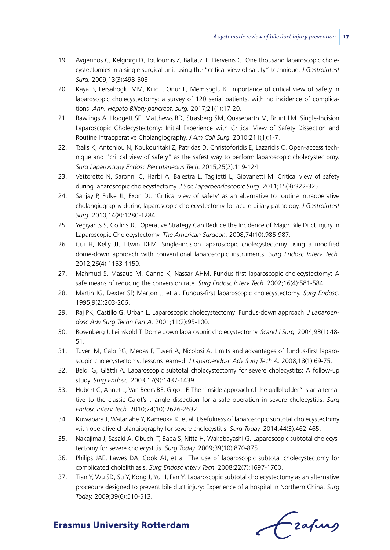- 19. Avgerinos C, Kelgiorgi D, Touloumis Z, Baltatzi L, Dervenis C. One thousand laparoscopic cholecystectomies in a single surgical unit using the "critical view of safety" technique. *J Gastrointest Surg.* 2009;13(3):498-503.
- 20. Kaya B, Fersahoglu MM, Kilic F, Onur E, Memisoglu K. Importance of critical view of safety in laparoscopic cholecystectomy: a survey of 120 serial patients, with no incidence of complications. *Ann. Hepato Biliary pancreat. surg.* 2017;21(1):17-20.
- 21. Rawlings A, Hodgett SE, Matthews BD, Strasberg SM, Quasebarth M, Brunt LM. Single-Incision Laparoscopic Cholecystectomy: Initial Experience with Critical View of Safety Dissection and Routine Intraoperative Cholangiography. *J Am Coll Surg.* 2010;211(1):1-7.
- 22. Tsalis K, Antoniou N, Koukouritaki Z, Patridas D, Christoforidis E, Lazaridis C. Open-access technique and "critical view of safety" as the safest way to perform laparoscopic cholecystectomy. *Surg Laparoscopy Endosc Percutaneous Tech.* 2015;25(2):119-124.
- 23. Vettoretto N, Saronni C, Harbi A, Balestra L, Taglietti L, Giovanetti M. Critical view of safety during laparoscopic cholecystectomy. *J Soc Laparoendoscopic Surg.* 2011;15(3):322-325.
- 24. Sanjay P, Fulke JL, Exon DJ. 'Critical view of safety' as an alternative to routine intraoperative cholangiography during laparoscopic cholecystectomy for acute biliary pathology. *J Gastrointest Surg.* 2010;14(8):1280-1284.
- 25. Yegiyants S, Collins JC. Operative Strategy Can Reduce the Incidence of Major Bile Duct Injury in Laparoscopic Cholecystectomy. *The American Surgeon.* 2008;74(10):985-987.
- 26. Cui H, Kelly JJ, Litwin DEM. Single-incision laparoscopic cholecystectomy using a modified dome-down approach with conventional laparoscopic instruments. *Surg Endosc Interv Tech.* 2012;26(4):1153-1159.
- 27. Mahmud S, Masaud M, Canna K, Nassar AHM. Fundus-first laparoscopic cholecystectomy: A safe means of reducing the conversion rate. *Surg Endosc Interv Tech.* 2002;16(4):581-584.
- 28. Martin IG, Dexter SP, Marton J, et al. Fundus-first laparoscopic cholecystectomy. *Surg Endosc.* 1995;9(2):203-206.
- 29. Raj PK, Castillo G, Urban L. Laparoscopic cholecystectomy: Fundus-down approach. *J Laparoendosc Adv Surg Techn Part A.* 2001;11(2):95-100.
- 30. Rosenberg J, Leinskold T. Dome down laparosonic cholecystectomy. *Scand J Surg.* 2004;93(1):48- 51.
- 31. Tuveri M, Calo PG, Medas F, Tuveri A, Nicolosi A. Limits and advantages of fundus-first laparoscopic cholecystectomy: lessons learned. *J Laparoendosc Adv Surg Tech A.* 2008;18(1):69-75.
- 32. Beldi G, Glättli A. Laparoscopic subtotal cholecystectomy for severe cholecystitis: A follow-up study. *Surg Endosc.* 2003;17(9):1437-1439.
- 33. Hubert C, Annet L, Van Beers BE, Gigot JF. The "inside approach of the gallbladder" is an alternative to the classic Calot's triangle dissection for a safe operation in severe cholecystitis. *Surg Endosc Interv Tech.* 2010;24(10):2626-2632.
- 34. Kuwabara J, Watanabe Y, Kameoka K, et al. Usefulness of laparoscopic subtotal cholecystectomy with operative cholangiography for severe cholecystitis. *Surg Today.* 2014;44(3):462-465.
- 35. Nakajima J, Sasaki A, Obuchi T, Baba S, Nitta H, Wakabayashi G. Laparoscopic subtotal cholecystectomy for severe cholecystitis. *Surg Today.* 2009;39(10):870-875.
- 36. Philips JAE, Lawes DA, Cook AJ, et al. The use of laparoscopic subtotal cholecystectomy for complicated cholelithiasis. *Surg Endosc Interv Tech.* 2008;22(7):1697-1700.
- 37. Tian Y, Wu SD, Su Y, Kong J, Yu H, Fan Y. Laparoscopic subtotal cholecystectomy as an alternative procedure designed to prevent bile duct injury: Experience of a hospital in Northern China. *Surg Today.* 2009;39(6):510-513.

Czafing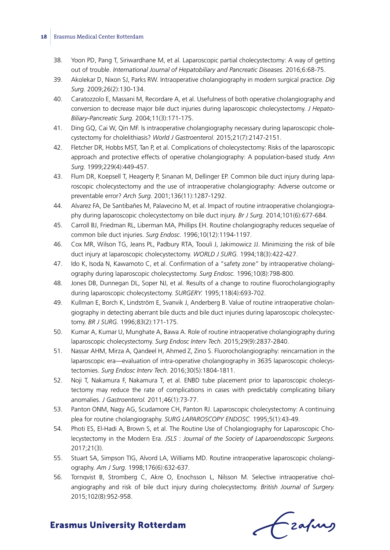- 38. Yoon PD, Pang T, Siriwardhane M, et al. Laparoscopic partial cholecystectomy: A way of getting out of trouble. *International Journal of Hepatobiliary and Pancreatic Diseases.* 2016;6:68-75.
- 39. Akolekar D, Nixon SJ, Parks RW. Intraoperative cholangiography in modern surgical practice. *Dig Surg.* 2009;26(2):130-134.
- 40. Caratozzolo E, Massani M, Recordare A, et al. Usefulness of both operative cholangiography and conversion to decrease major bile duct injuries during laparoscopic cholecystectomy. *J Hepato-Biliary-Pancreatic Surg.* 2004;11(3):171-175.
- 41. Ding GQ, Cai W, Qin MF. Is intraoperative cholangiography necessary during laparoscopic cholecystectomy for cholelithiasis? *World J Gastroenterol.* 2015;21(7):2147-2151.
- 42. Fletcher DR, Hobbs MST, Tan P, et al. Complications of cholecystectomy: Risks of the laparoscopic approach and protective effects of operative cholangiography: A population-based study. *Ann Surg.* 1999;229(4):449-457.
- 43. Flum DR, Koepsell T, Heagerty P, Sinanan M, Dellinger EP. Common bile duct injury during laparoscopic cholecystectomy and the use of intraoperative cholangiography: Adverse outcome or preventable error? *Arch Surg.* 2001;136(11):1287-1292.
- 44. Alvarez FA, De Santibañes M, Palavecino M, et al. Impact of routine intraoperative cholangiography during laparoscopic cholecystectomy on bile duct injury. *Br J Surg.* 2014;101(6):677-684.
- 45. Carroll BJ, Friedman RL, Liberman MA, Phillips EH. Routine cholangiography reduces sequelae of common bile duct injuries. *Surg Endosc.* 1996;10(12):1194-1197.
- 46. Cox MR, Wilson TG, Jeans PL, Padbury RTA, Toouli J, Jakimowicz JJ. Minimizing the risk of bile duct injury at laparoscopic cholecystectomy. *WORLD J SURG.* 1994;18(3):422-427.
- 47. Ido K, Isoda N, Kawamoto C, et al. Confirmation of a "safety zone" by intraoperative cholangiography during laparoscopic cholecystectomy. *Surg Endosc.* 1996;10(8):798-800.
- 48. Jones DB, Dunnegan DL, Soper NJ, et al. Results of a change to routine fluorocholangiography during laparoscopic cholecystectomy. *SURGERY.* 1995;118(4):693-702.
- 49. Kullman E, Borch K, Lindström E, Svanvik J, Anderberg B. Value of routine intraoperative cholangiography in detecting aberrant bile ducts and bile duct injuries during laparoscopic cholecystectomy. *BR J SURG.* 1996;83(2):171-175.
- 50. Kumar A, Kumar U, Munghate A, Bawa A. Role of routine intraoperative cholangiography during laparoscopic cholecystectomy. *Surg Endosc Interv Tech.* 2015;29(9):2837-2840.
- 51. Nassar AHM, Mirza A, Qandeel H, Ahmed Z, Zino S. Fluorocholangiography: reincarnation in the laparoscopic era—evaluation of intra-operative cholangiography in 3635 laparoscopic cholecystectomies. *Surg Endosc Interv Tech.* 2016;30(5):1804-1811.
- 52. Noji T, Nakamura F, Nakamura T, et al. ENBD tube placement prior to laparoscopic cholecystectomy may reduce the rate of complications in cases with predictably complicating biliary anomalies. *J Gastroenterol.* 2011;46(1):73-77.
- 53. Panton ONM, Nagy AG, Scudamore CH, Panton RJ. Laparoscopic cholecystectomy: A continuing plea for routine cholangiography. *SURG LAPAROSCOPY ENDOSC.* 1995;5(1):43-49.
- 54. Photi ES, El-Hadi A, Brown S, et al. The Routine Use of Cholangiography for Laparoscopic Cholecystectomy in the Modern Era. *JSLS : Journal of the Society of Laparoendoscopic Surgeons.* 2017;21(3).
- 55. Stuart SA, Simpson TIG, Alvord LA, Williams MD. Routine intraoperative laparoscopic cholangiography. *Am J Surg.* 1998;176(6):632-637.
- 56. Tornqvist B, Stromberg C, Akre O, Enochsson L, Nilsson M. Selective intraoperative cholangiography and risk of bile duct injury during cholecystectomy. *British Journal of Surgery.* 2015;102(8):952-958.

frafing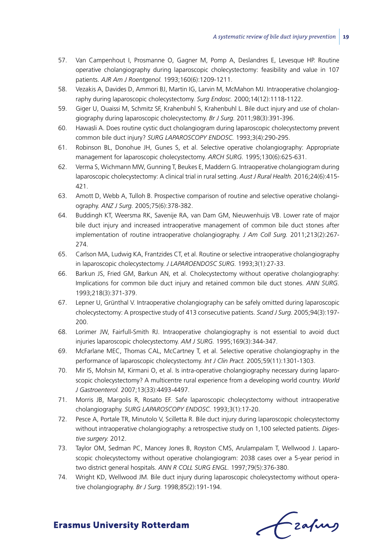- 57. Van Campenhout I, Prosmanne O, Gagner M, Pomp A, Deslandres E, Levesque HP. Routine operative cholangiography during laparoscopic cholecystectomy: feasibility and value in 107 patients. *AJR Am J Roentgenol.* 1993;160(6):1209-1211.
- 58. Vezakis A, Davides D, Ammori BJ, Martin IG, Larvin M, McMahon MJ. Intraoperative cholangiography during laparoscopic cholecystectomy. *Surg Endosc.* 2000;14(12):1118-1122.
- 59. Giger U, Ouaissi M, Schmitz SF, Krahenbuhl S, Krahenbuhl L. Bile duct injury and use of cholangiography during laparoscopic cholecystectomy. *Br J Surg.* 2011;98(3):391-396.
- 60. Hawasli A. Does routine cystic duct cholangiogram during laparoscopic cholecystectomy prevent common bile duct injury? *SURG LAPAROSCOPY ENDOSC.* 1993;3(4):290-295.
- 61. Robinson BL, Donohue JH, Gunes S, et al. Selective operative cholangiography: Appropriate management for laparoscopic cholecystectomy. *ARCH SURG.* 1995;130(6):625-631.
- 62. Verma S, Wichmann MW, Gunning T, Beukes E, Maddern G. Intraoperative cholangiogram during laparoscopic cholecystectomy: A clinical trial in rural setting. *Aust J Rural Health.* 2016;24(6):415- 421.
- 63. Amott D, Webb A, Tulloh B. Prospective comparison of routine and selective operative cholangiography. *ANZ J Surg.* 2005;75(6):378-382.
- 64. Buddingh KT, Weersma RK, Savenije RA, van Dam GM, Nieuwenhuijs VB. Lower rate of major bile duct injury and increased intraoperative management of common bile duct stones after implementation of routine intraoperative cholangiography. *J Am Coll Surg.* 2011;213(2):267- 274.
- 65. Carlson MA, Ludwig KA, Frantzides CT, et al. Routine or selective intraoperative cholangiography in laparoscopic cholecystectomy. *J LAPAROENDOSC SURG.* 1993;3(1):27-33.
- 66. Barkun JS, Fried GM, Barkun AN, et al. Cholecystectomy without operative cholangiography: Implications for common bile duct injury and retained common bile duct stones. *ANN SURG.* 1993;218(3):371-379.
- 67. Lepner U, Grünthal V. Intraoperative cholangiography can be safely omitted during laparoscopic cholecystectomy: A prospective study of 413 consecutive patients. *Scand J Surg.* 2005;94(3):197- 200.
- 68. Lorimer JW, Fairfull-Smith RJ. Intraoperative cholangiography is not essential to avoid duct injuries laparoscopic cholecystectomy. *AM J SURG.* 1995;169(3):344-347.
- 69. McFarlane MEC, Thomas CAL, McCartney T, et al. Selective operative cholangiography in the performance of laparoscopic cholecystectomy. *Int J Clin Pract.* 2005;59(11):1301-1303.
- 70. Mir IS, Mohsin M, Kirmani O, et al. Is intra-operative cholangiography necessary during laparoscopic cholecystectomy? A multicentre rural experience from a developing world country. *World J Gastroenterol.* 2007;13(33):4493-4497.
- 71. Morris JB, Margolis R, Rosato EF. Safe laparoscopic cholecystectomy without intraoperative cholangiography. *SURG LAPAROSCOPY ENDOSC.* 1993;3(1):17-20.
- 72. Pesce A, Portale TR, Minutolo V, Scilletta R. Bile duct injury during laparoscopic cholecystectomy without intraoperative cholangiography: a retrospective study on 1,100 selected patients. *Digestive surgery.* 2012.
- 73. Taylor OM, Sedman PC, Mancey Jones B, Royston CMS, Arulampalam T, Wellwood J. Laparoscopic cholecystectomy without operative cholangiogram: 2038 cases over a 5-year period in two district general hospitals. *ANN R COLL SURG ENGL.* 1997;79(5):376-380.
- 74. Wright KD, Wellwood JM. Bile duct injury during laparoscopic cholecystectomy without operative cholangiography. *Br J Surg.* 1998;85(2):191-194.

Czafing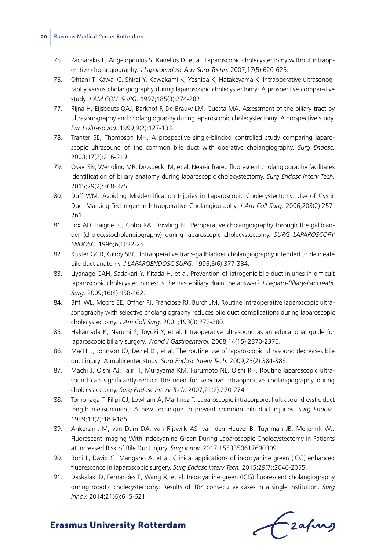- 75. Zacharakis E, Angelopoulos S, Kanellos D, et al. Laparoscopic cholecystectomy without intraoperative cholangiography. *J Laparoendosc Adv Surg Techn.* 2007;17(5):620-625.
- 76. Ohtani T, Kawai C, Shirai Y, Kawakami K, Yoshida K, Hatakeyama K. Intraoperative ultrasonography versus cholangiography during laparoscopic cholecystectomy: A prospective comparative study. *J AM COLL SURG.* 1997;185(3):274-282.
- 77. Rijna H, Eijsbouts QAJ, Barkhof F, De Brauw LM, Cuesta MA. Assessment of the biliary tract by ultrasonography and cholangiography during laparoscopic cholecystectomy: A prospective study. *Eur J Ultrasound.* 1999;9(2):127-133.
- 78. Tranter SE, Thompson MH. A prospective single-blinded controlled study comparing laparoscopic ultrasound of the common bile duct with operative cholangiography. *Surg Endosc.* 2003;17(2):216-219.
- 79. Osayi SN, Wendling MR, Drosdeck JM, et al. Near-infrared fluorescent cholangiography facilitates identification of biliary anatomy during laparoscopic cholecystectomy. *Surg Endosc Interv Tech.* 2015;29(2):368-375.
- 80. Duff WM. Avoiding Misidentification Injuries in Laparoscopic Cholecystectomy: Use of Cystic Duct Marking Technique in Intraoperative Cholangiography. *J Am Coll Surg.* 2006;203(2):257- 261.
- 81. Fox AD, Baigrie RJ, Cobb RA, Dowling BL. Peroperative cholangiography through the gallbladder (cholecystocholangiography) during laparoscopic cholecystectomy. *SURG LAPAROSCOPY ENDOSC.* 1996;6(1):22-25.
- 82. Kuster GGR, Gilroy SBC. Intraoperative trans-gallbladder cholangiography intended to delineate bile duct anatomy. *J LAPAROENDOSC SURG.* 1995;5(6):377-384.
- 83. Liyanage CAH, Sadakari Y, Kitada H, et al. Prevention of iatrogenic bile duct injuries in difficult laparoscopic cholecystectomies: Is the naso-biliary drain the answer? *J Hepato-Biliary-Pancreatic Surg.* 2009;16(4):458-462.
- 84. Biffl WL, Moore EE, Offner PJ, Franciose RJ, Burch JM. Routine intraoperative laparoscopic ultrasonography with selective cholangiography reduces bile duct complications during laparoscopic cholecystectomy. *J Am Coll Surg.* 2001;193(3):272-280.
- 85. Hakamada K, Narumi S, Toyoki Y, et al. Intraoperative ultrasound as an educational guide for laparoscopic biliary surgery. *World J Gastroenterol.* 2008;14(15):2370-2376.
- 86. MacHi J, Johnson JO, Deziel DJ, et al. The routine use of laparoscopic ultrasound decreases bile duct injury: A multicenter study. *Surg Endosc Interv Tech.* 2009;23(2):384-388.
- 87. Machi J, Oishi AJ, Tajiri T, Murayama KM, Furumoto NL, Oishi RH. Routine laparoscopic ultrasound can significantly reduce the need for selective intraoperative cholangiography during cholecystectomy. *Surg Endosc Interv Tech.* 2007;21(2):270-274.
- 88. Tomonaga T, Filipi CJ, Lowham A, Martinez T. Laparoscopic intracorporeal ultrasound cystic duct length measurement: A new technique to prevent common bile duct injuries. *Surg Endosc.* 1999;13(2):183-185.
- 89. Ankersmit M, van Dam DA, van Rijswijk AS, van den Heuvel B, Tuynman JB, Meijerink WJ. Fluorescent Imaging With Indocyanine Green During Laparoscopic Cholecystectomy in Patients at Increased Risk of Bile Duct Injury. *Surg Innov.* 2017:1553350617690309.
- 90. Boni L, David G, Mangano A, et al. Clinical applications of indocyanine green (ICG) enhanced fluorescence in laparoscopic surgery. *Surg Endosc Interv Tech.* 2015;29(7):2046-2055.
- 91. Daskalaki D, Fernandes E, Wang X, et al. Indocyanine green (ICG) fluorescent cholangiography during robotic cholecystectomy: Results of 184 consecutive cases in a single institution. *Surg Innov.* 2014;21(6):615-621.

frafing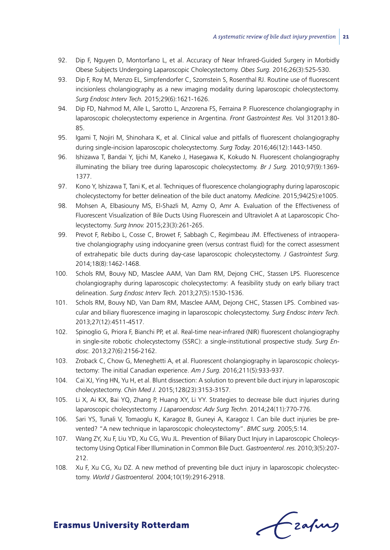- 92. Dip F, Nguyen D, Montorfano L, et al. Accuracy of Near Infrared-Guided Surgery in Morbidly Obese Subjects Undergoing Laparoscopic Cholecystectomy. *Obes Surg.* 2016;26(3):525-530.
- 93. Dip F, Roy M, Menzo EL, Simpfendorfer C, Szomstein S, Rosenthal RJ. Routine use of fluorescent incisionless cholangiography as a new imaging modality during laparoscopic cholecystectomy. *Surg Endosc Interv Tech.* 2015;29(6):1621-1626.
- 94. Dip FD, Nahmod M, Alle L, Sarotto L, Anzorena FS, Ferraina P. Fluorescence cholangiography in laparoscopic cholecystectomy experience in Argentina. *Front Gastrointest Res.* Vol 312013:80- 85.
- 95. Igami T, Nojiri M, Shinohara K, et al. Clinical value and pitfalls of fluorescent cholangiography during single-incision laparoscopic cholecystectomy. *Surg Today.* 2016;46(12):1443-1450.
- 96. Ishizawa T, Bandai Y, Ijichi M, Kaneko J, Hasegawa K, Kokudo N. Fluorescent cholangiography illuminating the biliary tree during laparoscopic cholecystectomy. *Br J Surg.* 2010;97(9):1369- 1377.
- 97. Kono Y, Ishizawa T, Tani K, et al. Techniques of fluorescence cholangiography during laparoscopic cholecystectomy for better delineation of the bile duct anatomy. *Medicine.* 2015;94(25):e1005.
- 98. Mohsen A, Elbasiouny MS, El-Shazli M, Azmy O, Amr A. Evaluation of the Effectiveness of Fluorescent Visualization of Bile Ducts Using Fluorescein and Ultraviolet A at Laparoscopic Cholecystectomy. *Surg Innov.* 2015;23(3):261-265.
- 99. Prevot F, Rebibo L, Cosse C, Browet F, Sabbagh C, Regimbeau JM. Effectiveness of intraoperative cholangiography using indocyanine green (versus contrast fluid) for the correct assessment of extrahepatic bile ducts during day-case laparoscopic cholecystectomy. *J Gastrointest Surg.* 2014;18(8):1462-1468.
- 100. Schols RM, Bouvy ND, Masclee AAM, Van Dam RM, Dejong CHC, Stassen LPS. Fluorescence cholangiography during laparoscopic cholecystectomy: A feasibility study on early biliary tract delineation. *Surg Endosc Interv Tech.* 2013;27(5):1530-1536.
- 101. Schols RM, Bouvy ND, Van Dam RM, Masclee AAM, Dejong CHC, Stassen LPS. Combined vascular and biliary fluorescence imaging in laparoscopic cholecystectomy. *Surg Endosc Interv Tech.* 2013;27(12):4511-4517.
- 102. Spinoglio G, Priora F, Bianchi PP, et al. Real-time near-infrared (NIR) fluorescent cholangiography in single-site robotic cholecystectomy (SSRC): a single-institutional prospective study. *Surg Endosc.* 2013;27(6):2156-2162.
- 103. Zroback C, Chow G, Meneghetti A, et al. Fluorescent cholangiography in laparoscopic cholecystectomy: The initial Canadian experience. *Am J Surg.* 2016;211(5):933-937.
- 104. Cai XJ, Ying HN, Yu H, et al. Blunt dissection: A solution to prevent bile duct injury in laparoscopic cholecystectomy. *Chin Med J.* 2015;128(23):3153-3157.
- 105. Li X, Ai KX, Bai YQ, Zhang P, Huang XY, Li YY. Strategies to decrease bile duct injuries during laparoscopic cholecystectomy. *J Laparoendosc Adv Surg Techn.* 2014;24(11):770-776.
- 106. Sari YS, Tunali V, Tomaoglu K, Karagoz B, Guneyi A, Karagoz I. Can bile duct injuries be prevented? "A new technique in laparoscopic cholecystectomy". *BMC surg.* 2005;5:14.
- 107. Wang ZY, Xu F, Liu YD, Xu CG, Wu JL. Prevention of Biliary Duct Injury in Laparoscopic Cholecystectomy Using Optical Fiber Illumination in Common Bile Duct. *Gastroenterol. res.* 2010;3(5):207- 212.
- 108. Xu F, Xu CG, Xu DZ. A new method of preventing bile duct injury in laparoscopic cholecystectomy. *World J Gastroenterol.* 2004;10(19):2916-2918.

Czafing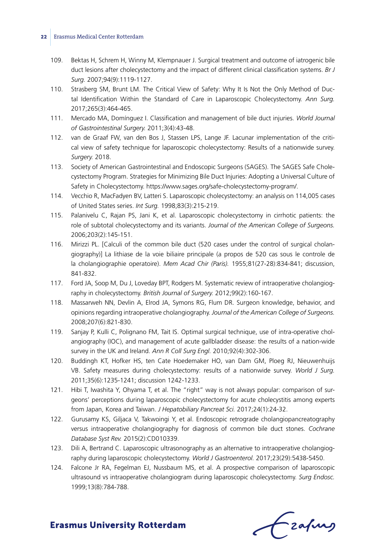- 109. Bektas H, Schrem H, Winny M, Klempnauer J. Surgical treatment and outcome of iatrogenic bile duct lesions after cholecystectomy and the impact of different clinical classification systems. *Br J Surg.* 2007;94(9):1119-1127.
- 110. Strasberg SM, Brunt LM. The Critical View of Safety: Why It Is Not the Only Method of Ductal Identification Within the Standard of Care in Laparoscopic Cholecystectomy. *Ann Surg.* 2017;265(3):464-465.
- 111. Mercado MA, Domínguez I. Classification and management of bile duct injuries. *World Journal of Gastrointestinal Surgery.* 2011;3(4):43-48.
- 112. van de Graaf FW, van den Bos J, Stassen LPS, Lange JF. Lacunar implementation of the critical view of safety technique for laparoscopic cholecystectomy: Results of a nationwide survey. *Surgery.* 2018.
- 113. Society of American Gastrointestinal and Endoscopic Surgeons (SAGES). The SAGES Safe Cholecystectomy Program. Strategies for Minimizing Bile Duct Injuries: Adopting a Universal Culture of Safety in Cholecystectomy. https://www.sages.org/safe-cholecystectomy-program/.
- 114. Vecchio R, MacFadyen BV, Latteri S. Laparoscopic cholecystectomy: an analysis on 114,005 cases of United States series. *Int Surg.* 1998;83(3):215-219.
- 115. Palanivelu C, Rajan PS, Jani K, et al. Laparoscopic cholecystectomy in cirrhotic patients: the role of subtotal cholecystectomy and its variants. *Journal of the American College of Surgeons.* 2006;203(2):145-151.
- 116. Mirizzi PL. [Calculi of the common bile duct (520 cases under the control of surgical cholangiography)] La lithiase de la voie biliaire principale (a propos de 520 cas sous le controle de la cholangiographie operatoire). *Mem Acad Chir (Paris).* 1955;81(27-28):834-841; discussion, 841-832.
- 117. Ford JA, Soop M, Du J, Loveday BPT, Rodgers M. Systematic review of intraoperative cholangiography in cholecystectomy. *British Journal of Surgery.* 2012;99(2):160-167.
- 118. Massarweh NN, Devlin A, Elrod JA, Symons RG, Flum DR. Surgeon knowledge, behavior, and opinions regarding intraoperative cholangiography. *Journal of the American College of Surgeons.* 2008;207(6):821-830.
- 119. Sanjay P, Kulli C, Polignano FM, Tait IS. Optimal surgical technique, use of intra-operative cholangiography (IOC), and management of acute gallbladder disease: the results of a nation-wide survey in the UK and Ireland. *Ann R Coll Surg Engl.* 2010;92(4):302-306.
- 120. Buddingh KT, Hofker HS, ten Cate Hoedemaker HO, van Dam GM, Ploeg RJ, Nieuwenhuijs VB. Safety measures during cholecystectomy: results of a nationwide survey. *World J Surg.* 2011;35(6):1235-1241; discussion 1242-1233.
- 121. Hibi T, Iwashita Y, Ohyama T, et al. The "right" way is not always popular: comparison of surgeons' perceptions during laparoscopic cholecystectomy for acute cholecystitis among experts from Japan, Korea and Taiwan. *J Hepatobiliary Pancreat Sci.* 2017;24(1):24-32.
- 122. Gurusamy KS, Giljaca V, Takwoingi Y, et al. Endoscopic retrograde cholangiopancreatography versus intraoperative cholangiography for diagnosis of common bile duct stones. *Cochrane Database Syst Rev.* 2015(2):CD010339.
- 123. Dili A, Bertrand C. Laparoscopic ultrasonography as an alternative to intraoperative cholangiography during laparoscopic cholecystectomy. *World J Gastroenterol.* 2017;23(29):5438-5450.
- 124. Falcone Jr RA, Fegelman EJ, Nussbaum MS, et al. A prospective comparison of laparoscopic ultrasound vs intraoperative cholangiogram during laparoscopic cholecystectomy. *Surg Endosc.* 1999;13(8):784-788.

Czafing